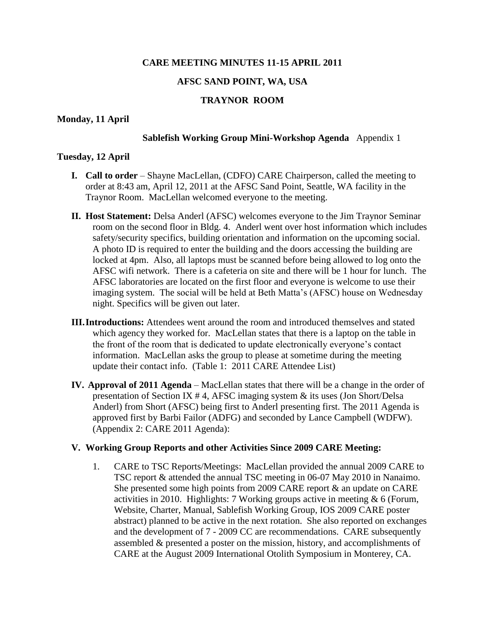### **CARE MEETING MINUTES 11-15 APRIL 2011**

### **AFSC SAND POINT, WA, USA**

# **TRAYNOR ROOM**

#### **Monday, 11 April**

#### **Sablefish Working Group Mini-Workshop Agenda** Appendix 1

#### **Tuesday, 12 April**

- **I. Call to order**  Shayne MacLellan, (CDFO) CARE Chairperson, called the meeting to order at 8:43 am, April 12, 2011 at the AFSC Sand Point, Seattle, WA facility in the Traynor Room. MacLellan welcomed everyone to the meeting.
- **II. Host Statement:** Delsa Anderl (AFSC) welcomes everyone to the Jim Traynor Seminar room on the second floor in Bldg. 4. Anderl went over host information which includes safety/security specifics, building orientation and information on the upcoming social. A photo ID is required to enter the building and the doors accessing the building are locked at 4pm. Also, all laptops must be scanned before being allowed to log onto the AFSC wifi network. There is a cafeteria on site and there will be 1 hour for lunch. The AFSC laboratories are located on the first floor and everyone is welcome to use their imaging system. The social will be held at Beth Matta's (AFSC) house on Wednesday night. Specifics will be given out later.
- **III.Introductions:** Attendees went around the room and introduced themselves and stated which agency they worked for. MacLellan states that there is a laptop on the table in the front of the room that is dedicated to update electronically everyone's contact information. MacLellan asks the group to please at sometime during the meeting update their contact info. (Table 1: 2011 CARE Attendee List)
- **IV. Approval of 2011 Agenda** MacLellan states that there will be a change in the order of presentation of Section IX # 4, AFSC imaging system & its uses (Jon Short/Delsa Anderl) from Short (AFSC) being first to Anderl presenting first. The 2011 Agenda is approved first by Barbi Failor (ADFG) and seconded by Lance Campbell (WDFW). (Appendix 2: CARE 2011 Agenda):

#### **V. Working Group Reports and other Activities Since 2009 CARE Meeting:**

1. CARE to TSC Reports/Meetings: MacLellan provided the annual 2009 CARE to TSC report & attended the annual TSC meeting in 06-07 May 2010 in Nanaimo. She presented some high points from 2009 CARE report & an update on CARE activities in 2010. Highlights: 7 Working groups active in meeting  $\& 6$  (Forum, Website, Charter, Manual, Sablefish Working Group, IOS 2009 CARE poster abstract) planned to be active in the next rotation. She also reported on exchanges and the development of 7 - 2009 CC are recommendations. CARE subsequently assembled & presented a poster on the mission, history, and accomplishments of CARE at the August 2009 International Otolith Symposium in Monterey, CA.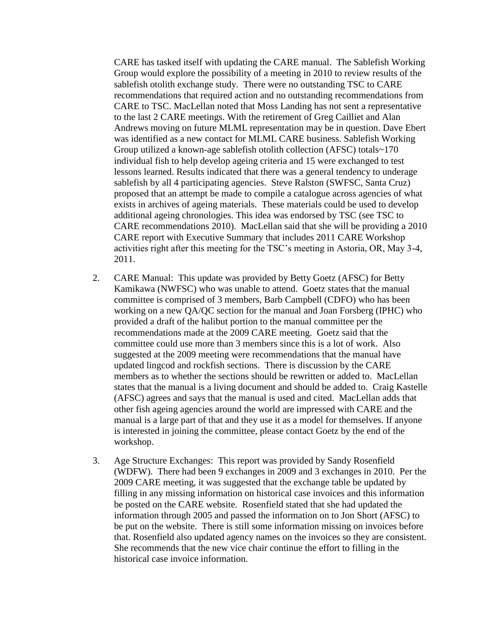CARE has tasked itself with updating the CARE manual. The Sablefish Working Group would explore the possibility of a meeting in 2010 to review results of the sablefish otolith exchange study. There were no outstanding TSC to CARE recommendations that required action and no outstanding recommendations from CARE to TSC. MacLellan noted that Moss Landing has not sent a representative to the last 2 CARE meetings. With the retirement of Greg Cailliet and Alan Andrews moving on future MLML representation may be in question. Dave Ebert was identified as a new contact for MLML CARE business. Sablefish Working Group utilized a known-age sablefish otolith collection (AFSC) totals~170 individual fish to help develop ageing criteria and 15 were exchanged to test lessons learned. Results indicated that there was a general tendency to underage sablefish by all 4 participating agencies. Steve Ralston (SWFSC, Santa Cruz) proposed that an attempt be made to compile a catalogue across agencies of what exists in archives of ageing materials. These materials could be used to develop additional ageing chronologies. This idea was endorsed by TSC (see TSC to CARE recommendations 2010). MacLellan said that she will be providing a 2010 CARE report with Executive Summary that includes 2011 CARE Workshop activities right after this meeting for the TSC's meeting in Astoria, OR, May 3-4, 2011.

- 2. CARE Manual: This update was provided by Betty Goetz (AFSC) for Betty Kamikawa (NWFSC) who was unable to attend. Goetz states that the manual committee is comprised of 3 members, Barb Campbell (CDFO) who has been working on a new QA/QC section for the manual and Joan Forsberg (IPHC) who provided a draft of the halibut portion to the manual committee per the recommendations made at the 2009 CARE meeting. Goetz said that the committee could use more than 3 members since this is a lot of work. Also suggested at the 2009 meeting were recommendations that the manual have updated lingcod and rockfish sections. There is discussion by the CARE members as to whether the sections should be rewritten or added to. MacLellan states that the manual is a living document and should be added to. Craig Kastelle (AFSC) agrees and says that the manual is used and cited. MacLellan adds that other fish ageing agencies around the world are impressed with CARE and the manual is a large part of that and they use it as a model for themselves. If anyone is interested in joining the committee, please contact Goetz by the end of the workshop.
- 3. Age Structure Exchanges: This report was provided by Sandy Rosenfield (WDFW). There had been 9 exchanges in 2009 and 3 exchanges in 2010. Per the 2009 CARE meeting, it was suggested that the exchange table be updated by filling in any missing information on historical case invoices and this information be posted on the CARE website. Rosenfield stated that she had updated the information through 2005 and passed the information on to Jon Short (AFSC) to be put on the website. There is still some information missing on invoices before that. Rosenfield also updated agency names on the invoices so they are consistent. She recommends that the new vice chair continue the effort to filling in the historical case invoice information.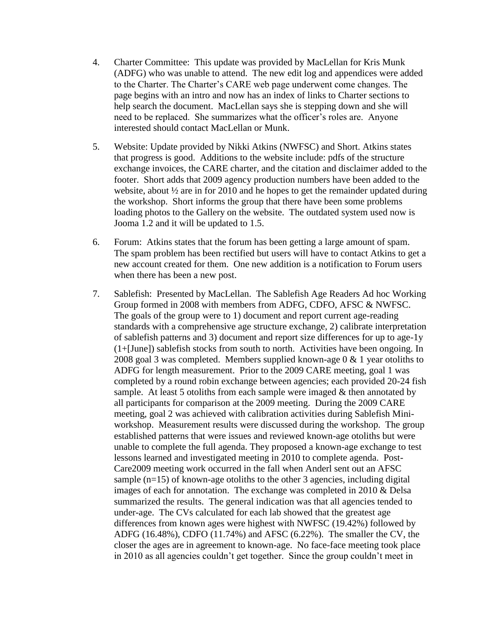- 4. Charter Committee: This update was provided by MacLellan for Kris Munk (ADFG) who was unable to attend. The new edit log and appendices were added to the Charter. The Charter's CARE web page underwent come changes. The page begins with an intro and now has an index of links to Charter sections to help search the document. MacLellan says she is stepping down and she will need to be replaced. She summarizes what the officer's roles are. Anyone interested should contact MacLellan or Munk.
- 5. Website: Update provided by Nikki Atkins (NWFSC) and Short. Atkins states that progress is good. Additions to the website include: pdfs of the structure exchange invoices, the CARE charter, and the citation and disclaimer added to the footer. Short adds that 2009 agency production numbers have been added to the website, about ½ are in for 2010 and he hopes to get the remainder updated during the workshop. Short informs the group that there have been some problems loading photos to the Gallery on the website. The outdated system used now is Jooma 1.2 and it will be updated to 1.5.
- 6. Forum: Atkins states that the forum has been getting a large amount of spam. The spam problem has been rectified but users will have to contact Atkins to get a new account created for them. One new addition is a notification to Forum users when there has been a new post.
- 7. Sablefish: Presented by MacLellan. The Sablefish Age Readers Ad hoc Working Group formed in 2008 with members from ADFG, CDFO, AFSC & NWFSC. The goals of the group were to 1) document and report current age-reading standards with a comprehensive age structure exchange, 2) calibrate interpretation of sablefish patterns and 3) document and report size differences for up to age-1y (1+[June]) sablefish stocks from south to north. Activities have been ongoing. In 2008 goal 3 was completed. Members supplied known-age 0 & 1 year otoliths to ADFG for length measurement. Prior to the 2009 CARE meeting, goal 1 was completed by a round robin exchange between agencies; each provided 20-24 fish sample. At least 5 otoliths from each sample were imaged  $\&$  then annotated by all participants for comparison at the 2009 meeting. During the 2009 CARE meeting, goal 2 was achieved with calibration activities during Sablefish Miniworkshop. Measurement results were discussed during the workshop. The group established patterns that were issues and reviewed known-age otoliths but were unable to complete the full agenda. They proposed a known-age exchange to test lessons learned and investigated meeting in 2010 to complete agenda. Post-Care2009 meeting work occurred in the fall when Anderl sent out an AFSC sample  $(n=15)$  of known-age otoliths to the other 3 agencies, including digital images of each for annotation. The exchange was completed in 2010 & Delsa summarized the results. The general indication was that all agencies tended to under-age. The CVs calculated for each lab showed that the greatest age differences from known ages were highest with NWFSC (19.42%) followed by ADFG (16.48%), CDFO (11.74%) and AFSC (6.22%). The smaller the CV, the closer the ages are in agreement to known-age. No face-face meeting took place in 2010 as all agencies couldn't get together. Since the group couldn't meet in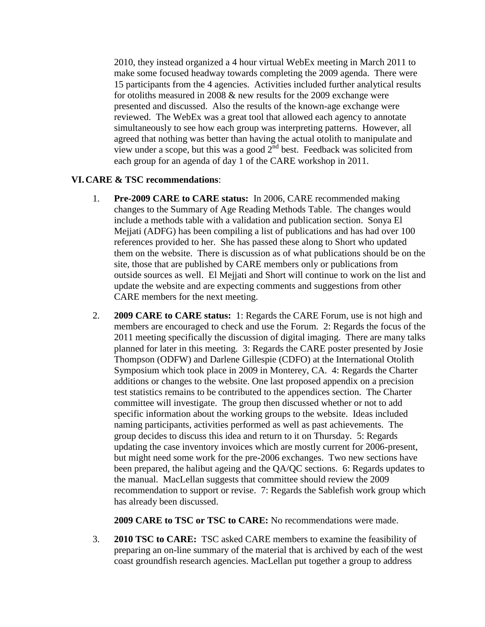2010, they instead organized a 4 hour virtual WebEx meeting in March 2011 to make some focused headway towards completing the 2009 agenda. There were 15 participants from the 4 agencies. Activities included further analytical results for otoliths measured in 2008 & new results for the 2009 exchange were presented and discussed. Also the results of the known-age exchange were reviewed. The WebEx was a great tool that allowed each agency to annotate simultaneously to see how each group was interpreting patterns. However, all agreed that nothing was better than having the actual otolith to manipulate and view under a scope, but this was a good  $2^{nd}$  best. Feedback was solicited from each group for an agenda of day 1 of the CARE workshop in 2011.

### **VI.CARE & TSC recommendations**:

- 1. **Pre-2009 CARE to CARE status:** In 2006, CARE recommended making changes to the Summary of Age Reading Methods Table. The changes would include a methods table with a validation and publication section. Sonya El Mejjati (ADFG) has been compiling a list of publications and has had over 100 references provided to her. She has passed these along to Short who updated them on the website. There is discussion as of what publications should be on the site, those that are published by CARE members only or publications from outside sources as well. El Mejjati and Short will continue to work on the list and update the website and are expecting comments and suggestions from other CARE members for the next meeting.
- 2. **2009 CARE to CARE status:** 1: Regards the CARE Forum, use is not high and members are encouraged to check and use the Forum. 2: Regards the focus of the 2011 meeting specifically the discussion of digital imaging. There are many talks planned for later in this meeting. 3: Regards the CARE poster presented by Josie Thompson (ODFW) and Darlene Gillespie (CDFO) at the International Otolith Symposium which took place in 2009 in Monterey, CA. 4: Regards the Charter additions or changes to the website. One last proposed appendix on a precision test statistics remains to be contributed to the appendices section. The Charter committee will investigate. The group then discussed whether or not to add specific information about the working groups to the website. Ideas included naming participants, activities performed as well as past achievements. The group decides to discuss this idea and return to it on Thursday. 5: Regards updating the case inventory invoices which are mostly current for 2006-present, but might need some work for the pre-2006 exchanges. Two new sections have been prepared, the halibut ageing and the QA/QC sections. 6: Regards updates to the manual. MacLellan suggests that committee should review the 2009 recommendation to support or revise. 7: Regards the Sablefish work group which has already been discussed.

**2009 CARE to TSC or TSC to CARE:** No recommendations were made.

3. **2010 TSC to CARE:** TSC asked CARE members to examine the feasibility of preparing an on-line summary of the material that is archived by each of the west coast groundfish research agencies. MacLellan put together a group to address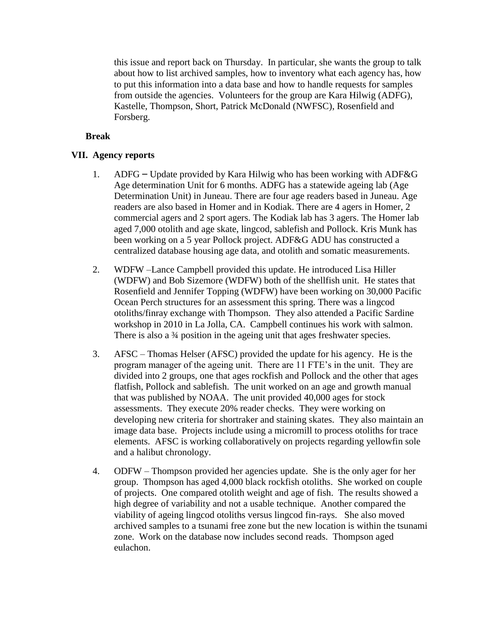this issue and report back on Thursday. In particular, she wants the group to talk about how to list archived samples, how to inventory what each agency has, how to put this information into a data base and how to handle requests for samples from outside the agencies. Volunteers for the group are Kara Hilwig (ADFG), Kastelle, Thompson, Short, Patrick McDonald (NWFSC), Rosenfield and Forsberg.

# **Break**

# **VII. Agency reports**

- 1. ADFG Update provided by Kara Hilwig who has been working with ADF&G Age determination Unit for 6 months. ADFG has a statewide ageing lab (Age Determination Unit) in Juneau. There are four age readers based in Juneau. Age readers are also based in Homer and in Kodiak. There are 4 agers in Homer, 2 commercial agers and 2 sport agers. The Kodiak lab has 3 agers. The Homer lab aged 7,000 otolith and age skate, lingcod, sablefish and Pollock. Kris Munk has been working on a 5 year Pollock project. ADF&G ADU has constructed a centralized database housing age data, and otolith and somatic measurements.
- 2. WDFW –Lance Campbell provided this update. He introduced Lisa Hiller (WDFW) and Bob Sizemore (WDFW) both of the shellfish unit. He states that Rosenfield and Jennifer Topping (WDFW) have been working on 30,000 Pacific Ocean Perch structures for an assessment this spring. There was a lingcod otoliths/finray exchange with Thompson. They also attended a Pacific Sardine workshop in 2010 in La Jolla, CA. Campbell continues his work with salmon. There is also a 34 position in the ageing unit that ages freshwater species.
- 3. AFSC Thomas Helser (AFSC) provided the update for his agency. He is the program manager of the ageing unit. There are 11 FTE's in the unit. They are divided into 2 groups, one that ages rockfish and Pollock and the other that ages flatfish, Pollock and sablefish. The unit worked on an age and growth manual that was published by NOAA. The unit provided 40,000 ages for stock assessments. They execute 20% reader checks. They were working on developing new criteria for shortraker and staining skates. They also maintain an image data base. Projects include using a micromill to process otoliths for trace elements. AFSC is working collaboratively on projects regarding yellowfin sole and a halibut chronology.
- 4. ODFW Thompson provided her agencies update. She is the only ager for her group. Thompson has aged 4,000 black rockfish otoliths. She worked on couple of projects. One compared otolith weight and age of fish. The results showed a high degree of variability and not a usable technique. Another compared the viability of ageing lingcod otoliths versus lingcod fin-rays. She also moved archived samples to a tsunami free zone but the new location is within the tsunami zone. Work on the database now includes second reads. Thompson aged eulachon.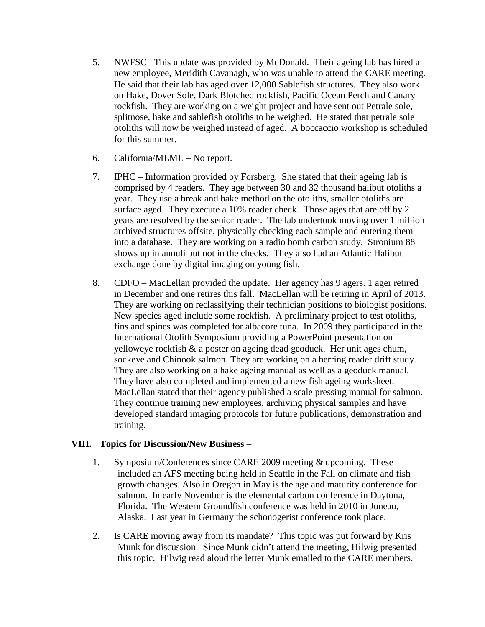- 5. NWFSC– This update was provided by McDonald. Their ageing lab has hired a new employee, Meridith Cavanagh, who was unable to attend the CARE meeting. He said that their lab has aged over 12,000 Sablefish structures. They also work on Hake, Dover Sole, Dark Blotched rockfish, Pacific Ocean Perch and Canary rockfish. They are working on a weight project and have sent out Petrale sole, splitnose, hake and sablefish otoliths to be weighed. He stated that petrale sole otoliths will now be weighed instead of aged. A boccaccio workshop is scheduled for this summer.
- 6. California/MLML No report.
- 7. IPHC Information provided by Forsberg. She stated that their ageing lab is comprised by 4 readers. They age between 30 and 32 thousand halibut otoliths a year. They use a break and bake method on the otoliths, smaller otoliths are surface aged. They execute a 10% reader check. Those ages that are off by 2 years are resolved by the senior reader. The lab undertook moving over 1 million archived structures offsite, physically checking each sample and entering them into a database. They are working on a radio bomb carbon study. Stronium 88 shows up in annuli but not in the checks. They also had an Atlantic Halibut exchange done by digital imaging on young fish.
- 8. CDFO MacLellan provided the update. Her agency has 9 agers. 1 ager retired in December and one retires this fall. MacLellan will be retiring in April of 2013. They are working on reclassifying their technician positions to biologist positions. New species aged include some rockfish. A preliminary project to test otoliths, fins and spines was completed for albacore tuna. In 2009 they participated in the International Otolith Symposium providing a PowerPoint presentation on yelloweye rockfish & a poster on ageing dead geoduck. Her unit ages chum, sockeye and Chinook salmon. They are working on a herring reader drift study. They are also working on a hake ageing manual as well as a geoduck manual. They have also completed and implemented a new fish ageing worksheet. MacLellan stated that their agency published a scale pressing manual for salmon. They continue training new employees, archiving physical samples and have developed standard imaging protocols for future publications, demonstration and training.

# **VIII. Topics for Discussion/New Business** –

- 1. Symposium/Conferences since CARE 2009 meeting & upcoming. These included an AFS meeting being held in Seattle in the Fall on climate and fish growth changes. Also in Oregon in May is the age and maturity conference for salmon. In early November is the elemental carbon conference in Daytona, Florida. The Western Groundfish conference was held in 2010 in Juneau, Alaska. Last year in Germany the schonogerist conference took place.
- 2. Is CARE moving away from its mandate? This topic was put forward by Kris Munk for discussion. Since Munk didn't attend the meeting, Hilwig presented this topic. Hilwig read aloud the letter Munk emailed to the CARE members.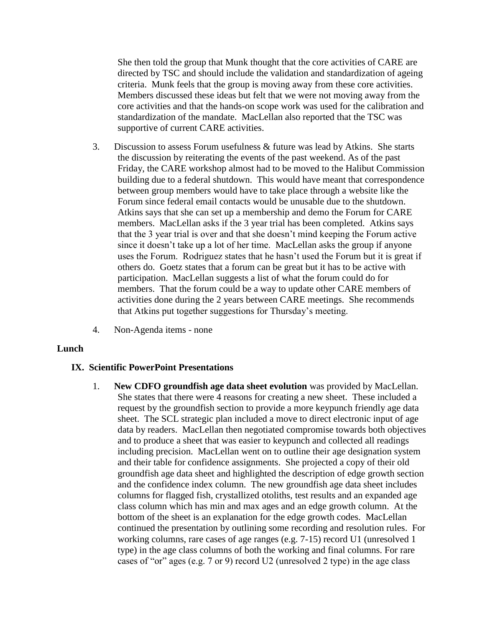She then told the group that Munk thought that the core activities of CARE are directed by TSC and should include the validation and standardization of ageing criteria. Munk feels that the group is moving away from these core activities. Members discussed these ideas but felt that we were not moving away from the core activities and that the hands-on scope work was used for the calibration and standardization of the mandate. MacLellan also reported that the TSC was supportive of current CARE activities.

- 3. Discussion to assess Forum usefulness & future was lead by Atkins. She starts the discussion by reiterating the events of the past weekend. As of the past Friday, the CARE workshop almost had to be moved to the Halibut Commission building due to a federal shutdown. This would have meant that correspondence between group members would have to take place through a website like the Forum since federal email contacts would be unusable due to the shutdown. Atkins says that she can set up a membership and demo the Forum for CARE members. MacLellan asks if the 3 year trial has been completed. Atkins says that the 3 year trial is over and that she doesn't mind keeping the Forum active since it doesn't take up a lot of her time. MacLellan asks the group if anyone uses the Forum. Rodriguez states that he hasn't used the Forum but it is great if others do. Goetz states that a forum can be great but it has to be active with participation. MacLellan suggests a list of what the forum could do for members. That the forum could be a way to update other CARE members of activities done during the 2 years between CARE meetings. She recommends that Atkins put together suggestions for Thursday's meeting.
- 4. Non-Agenda items none

#### **Lunch**

#### **IX. Scientific PowerPoint Presentations**

1. **New CDFO groundfish age data sheet evolution** was provided by MacLellan. She states that there were 4 reasons for creating a new sheet. These included a request by the groundfish section to provide a more keypunch friendly age data sheet. The SCL strategic plan included a move to direct electronic input of age data by readers. MacLellan then negotiated compromise towards both objectives and to produce a sheet that was easier to keypunch and collected all readings including precision. MacLellan went on to outline their age designation system and their table for confidence assignments. She projected a copy of their old groundfish age data sheet and highlighted the description of edge growth section and the confidence index column. The new groundfish age data sheet includes columns for flagged fish, crystallized otoliths, test results and an expanded age class column which has min and max ages and an edge growth column. At the bottom of the sheet is an explanation for the edge growth codes. MacLellan continued the presentation by outlining some recording and resolution rules. For working columns, rare cases of age ranges (e.g. 7-15) record U1 (unresolved 1 type) in the age class columns of both the working and final columns. For rare cases of "or" ages (e.g. 7 or 9) record U2 (unresolved 2 type) in the age class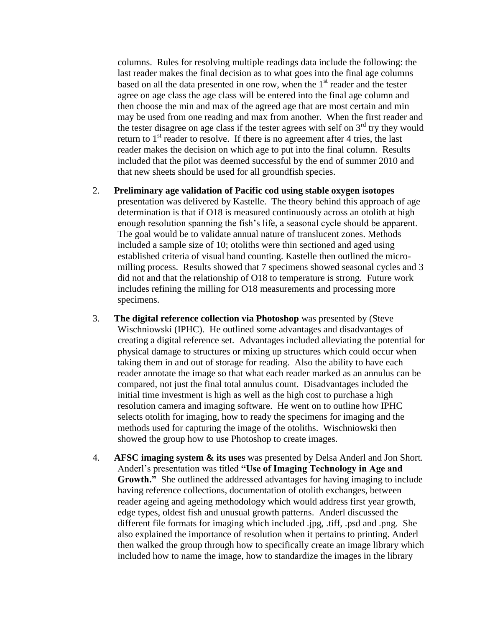columns. Rules for resolving multiple readings data include the following: the last reader makes the final decision as to what goes into the final age columns based on all the data presented in one row, when the  $1<sup>st</sup>$  reader and the tester agree on age class the age class will be entered into the final age column and then choose the min and max of the agreed age that are most certain and min may be used from one reading and max from another. When the first reader and the tester disagree on age class if the tester agrees with self on  $3<sup>rd</sup>$  try they would return to  $1<sup>st</sup>$  reader to resolve. If there is no agreement after 4 tries, the last reader makes the decision on which age to put into the final column. Results included that the pilot was deemed successful by the end of summer 2010 and that new sheets should be used for all groundfish species.

- 2. **Preliminary age validation of Pacific cod using stable oxygen isotopes** presentation was delivered by Kastelle. The theory behind this approach of age determination is that if O18 is measured continuously across an otolith at high enough resolution spanning the fish's life, a seasonal cycle should be apparent. The goal would be to validate annual nature of translucent zones. Methods included a sample size of 10; otoliths were thin sectioned and aged using established criteria of visual band counting. Kastelle then outlined the micromilling process. Results showed that 7 specimens showed seasonal cycles and 3 did not and that the relationship of O18 to temperature is strong. Future work includes refining the milling for O18 measurements and processing more specimens.
- 3. **The digital reference collection via Photoshop** was presented by (Steve Wischniowski (IPHC). He outlined some advantages and disadvantages of creating a digital reference set. Advantages included alleviating the potential for physical damage to structures or mixing up structures which could occur when taking them in and out of storage for reading. Also the ability to have each reader annotate the image so that what each reader marked as an annulus can be compared, not just the final total annulus count. Disadvantages included the initial time investment is high as well as the high cost to purchase a high resolution camera and imaging software. He went on to outline how IPHC selects otolith for imaging, how to ready the specimens for imaging and the methods used for capturing the image of the otoliths. Wischniowski then showed the group how to use Photoshop to create images.
- 4. **AFSC imaging system & its uses** was presented by Delsa Anderl and Jon Short. Anderl's presentation was titled **"Use of Imaging Technology in Age and Growth."** She outlined the addressed advantages for having imaging to include having reference collections, documentation of otolith exchanges, between reader ageing and ageing methodology which would address first year growth, edge types, oldest fish and unusual growth patterns. Anderl discussed the different file formats for imaging which included .jpg, .tiff, .psd and .png. She also explained the importance of resolution when it pertains to printing. Anderl then walked the group through how to specifically create an image library which included how to name the image, how to standardize the images in the library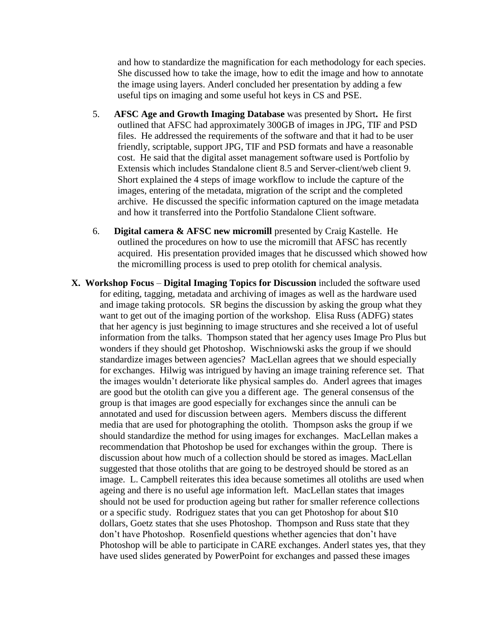and how to standardize the magnification for each methodology for each species. She discussed how to take the image, how to edit the image and how to annotate the image using layers. Anderl concluded her presentation by adding a few useful tips on imaging and some useful hot keys in CS and PSE.

- 5. **AFSC Age and Growth Imaging Database** was presented by Short**.** He first outlined that AFSC had approximately 300GB of images in JPG, TIF and PSD files. He addressed the requirements of the software and that it had to be user friendly, scriptable, support JPG, TIF and PSD formats and have a reasonable cost. He said that the digital asset management software used is Portfolio by Extensis which includes Standalone client 8.5 and Server-client/web client 9. Short explained the 4 steps of image workflow to include the capture of the images, entering of the metadata, migration of the script and the completed archive. He discussed the specific information captured on the image metadata and how it transferred into the Portfolio Standalone Client software.
- 6. **Digital camera & AFSC new micromill** presented by Craig Kastelle. He outlined the procedures on how to use the micromill that AFSC has recently acquired. His presentation provided images that he discussed which showed how the micromilling process is used to prep otolith for chemical analysis.
- **X. Workshop Focus Digital Imaging Topics for Discussion** included the software used for editing, tagging, metadata and archiving of images as well as the hardware used and image taking protocols. SR begins the discussion by asking the group what they want to get out of the imaging portion of the workshop. Elisa Russ (ADFG) states that her agency is just beginning to image structures and she received a lot of useful information from the talks. Thompson stated that her agency uses Image Pro Plus but wonders if they should get Photoshop. Wischniowski asks the group if we should standardize images between agencies? MacLellan agrees that we should especially for exchanges. Hilwig was intrigued by having an image training reference set. That the images wouldn't deteriorate like physical samples do. Anderl agrees that images are good but the otolith can give you a different age. The general consensus of the group is that images are good especially for exchanges since the annuli can be annotated and used for discussion between agers. Members discuss the different media that are used for photographing the otolith. Thompson asks the group if we should standardize the method for using images for exchanges. MacLellan makes a recommendation that Photoshop be used for exchanges within the group. There is discussion about how much of a collection should be stored as images. MacLellan suggested that those otoliths that are going to be destroyed should be stored as an image. L. Campbell reiterates this idea because sometimes all otoliths are used when ageing and there is no useful age information left. MacLellan states that images should not be used for production ageing but rather for smaller reference collections or a specific study. Rodriguez states that you can get Photoshop for about \$10 dollars, Goetz states that she uses Photoshop. Thompson and Russ state that they don't have Photoshop. Rosenfield questions whether agencies that don't have Photoshop will be able to participate in CARE exchanges. Anderl states yes, that they have used slides generated by PowerPoint for exchanges and passed these images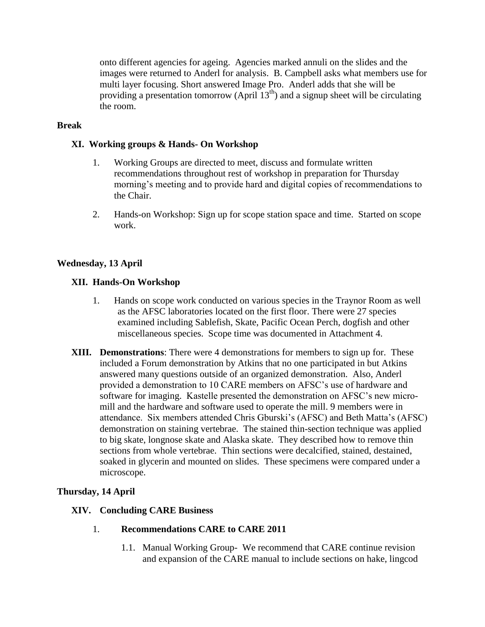onto different agencies for ageing. Agencies marked annuli on the slides and the images were returned to Anderl for analysis. B. Campbell asks what members use for multi layer focusing. Short answered Image Pro. Anderl adds that she will be providing a presentation tomorrow (April  $13<sup>th</sup>$ ) and a signup sheet will be circulating the room.

## **Break**

# **XI. Working groups & Hands- On Workshop**

- 1. Working Groups are directed to meet, discuss and formulate written recommendations throughout rest of workshop in preparation for Thursday morning's meeting and to provide hard and digital copies of recommendations to the Chair.
- 2. Hands-on Workshop: Sign up for scope station space and time. Started on scope work.

# **Wednesday, 13 April**

# **XII. Hands-On Workshop**

- 1. Hands on scope work conducted on various species in the Traynor Room as well as the AFSC laboratories located on the first floor. There were 27 species examined including Sablefish, Skate, Pacific Ocean Perch, dogfish and other miscellaneous species. Scope time was documented in Attachment 4.
- **XIII. Demonstrations**: There were 4 demonstrations for members to sign up for. These included a Forum demonstration by Atkins that no one participated in but Atkins answered many questions outside of an organized demonstration. Also, Anderl provided a demonstration to 10 CARE members on AFSC's use of hardware and software for imaging. Kastelle presented the demonstration on AFSC's new micromill and the hardware and software used to operate the mill. 9 members were in attendance. Six members attended Chris Gburski's (AFSC) and Beth Matta's (AFSC) demonstration on staining vertebrae. The stained thin-section technique was applied to big skate, longnose skate and Alaska skate. They described how to remove thin sections from whole vertebrae. Thin sections were decalcified, stained, destained, soaked in glycerin and mounted on slides. These specimens were compared under a microscope.

### **Thursday, 14 April**

### **XIV. Concluding CARE Business**

### 1. **Recommendations CARE to CARE 2011**

1.1. Manual Working Group- We recommend that CARE continue revision and expansion of the CARE manual to include sections on hake, lingcod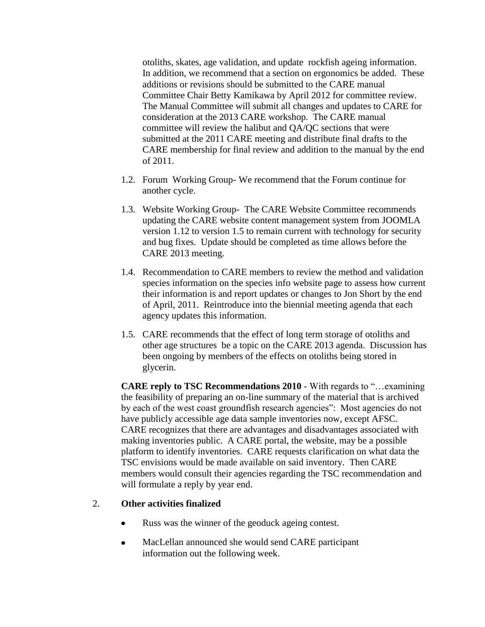otoliths, skates, age validation, and update rockfish ageing information. In addition, we recommend that a section on ergonomics be added. These additions or revisions should be submitted to the CARE manual Committee Chair Betty Kamikawa by April 2012 for committee review. The Manual Committee will submit all changes and updates to CARE for consideration at the 2013 CARE workshop. The CARE manual committee will review the halibut and QA/QC sections that were submitted at the 2011 CARE meeting and distribute final drafts to the CARE membership for final review and addition to the manual by the end of 2011.

- 1.2. Forum Working Group- We recommend that the Forum continue for another cycle.
- 1.3. Website Working Group- The CARE Website Committee recommends updating the CARE website content management system from JOOMLA version 1.12 to version 1.5 to remain current with technology for security and bug fixes. Update should be completed as time allows before the CARE 2013 meeting.
- 1.4. Recommendation to CARE members to review the method and validation species information on the species info website page to assess how current their information is and report updates or changes to Jon Short by the end of April, 2011. Reintroduce into the biennial meeting agenda that each agency updates this information.
- 1.5. CARE recommends that the effect of long term storage of otoliths and other age structures be a topic on the CARE 2013 agenda. Discussion has been ongoing by members of the effects on otoliths being stored in glycerin.

**CARE reply to TSC Recommendations 2010** - With regards to "…examining the feasibility of preparing an on-line summary of the material that is archived by each of the west coast groundfish research agencies": Most agencies do not have publicly accessible age data sample inventories now, except AFSC. CARE recognizes that there are advantages and disadvantages associated with making inventories public. A CARE portal, the website, may be a possible platform to identify inventories. CARE requests clarification on what data the TSC envisions would be made available on said inventory. Then CARE members would consult their agencies regarding the TSC recommendation and will formulate a reply by year end.

### 2. **Other activities finalized**

- Russ was the winner of the geoduck ageing contest.  $\bullet$
- MacLellan announced she would send CARE participant  $\bullet$ information out the following week.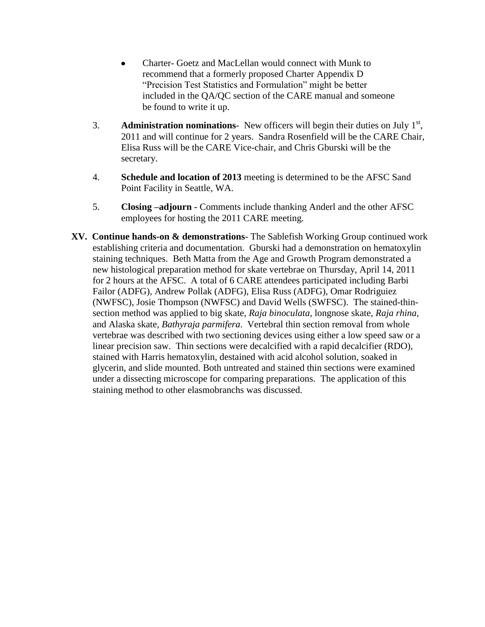- Charter- Goetz and MacLellan would connect with Munk to recommend that a formerly proposed Charter Appendix D "Precision Test Statistics and Formulation" might be better included in the QA/QC section of the CARE manual and someone be found to write it up.
- 3. **Administration nominations** New officers will begin their duties on July  $1<sup>st</sup>$ , 2011 and will continue for 2 years. Sandra Rosenfield will be the CARE Chair, Elisa Russ will be the CARE Vice-chair, and Chris Gburski will be the secretary.
- 4. **Schedule and location of 2013** meeting is determined to be the AFSC Sand Point Facility in Seattle, WA.
- 5. **Closing –adjourn -** Comments include thanking Anderl and the other AFSC employees for hosting the 2011 CARE meeting.
- **XV. Continue hands-on & demonstrations** The Sablefish Working Group continued work establishing criteria and documentation. Gburski had a demonstration on hematoxylin staining techniques. Beth Matta from the Age and Growth Program demonstrated a new histological preparation method for skate vertebrae on Thursday, April 14, 2011 for 2 hours at the AFSC. A total of 6 CARE attendees participated including Barbi Failor (ADFG), Andrew Pollak (ADFG), Elisa Russ (ADFG), Omar Rodriguiez (NWFSC), Josie Thompson (NWFSC) and David Wells (SWFSC). The stained-thinsection method was applied to big skate, *Raja binoculata*, longnose skate, *Raja rhina,* and Alaska skate, *Bathyraja parmifera*. Vertebral thin section removal from whole vertebrae was described with two sectioning devices using either a low speed saw or a linear precision saw. Thin sections were decalcified with a rapid decalcifier (RDO), stained with Harris hematoxylin, destained with acid alcohol solution, soaked in glycerin, and slide mounted. Both untreated and stained thin sections were examined under a dissecting microscope for comparing preparations. The application of this staining method to other elasmobranchs was discussed.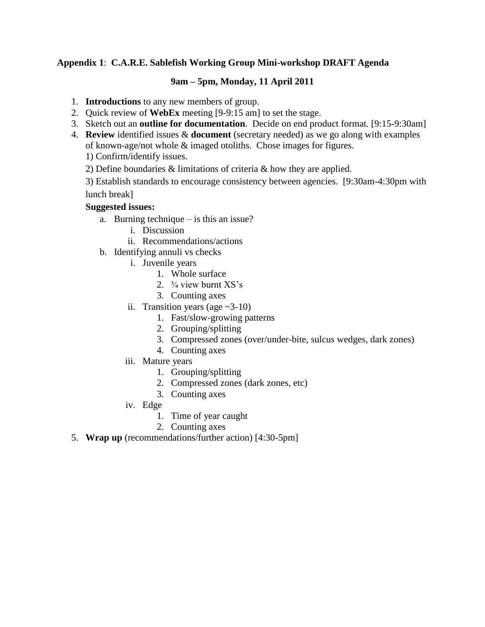# **Appendix 1**: **C.A.R.E. Sablefish Working Group Mini-workshop DRAFT Agenda**

# **9am – 5pm, Monday, 11 April 2011**

- 1. **Introductions** to any new members of group.
- 2. Quick review of **WebEx** meeting [9-9:15 am] to set the stage.
- 3. Sketch out an **outline for documentation**. Decide on end product format. [9:15-9:30am]

4. **Review** identified issues & **document** (secretary needed) as we go along with examples of known-age/not whole & imaged otoliths. Chose images for figures.

1) Confirm/identify issues.

2) Define boundaries & limitations of criteria & how they are applied.

3) Establish standards to encourage consistency between agencies. [9:30am-4:30pm with lunch break]

# **Suggested issues:**

- a. Burning technique is this an issue?
	- i. Discussion
	- ii. Recommendations/actions
- b. Identifying annuli vs checks
	- i. Juvenile years
		- 1. Whole surface
		- 2.  $\frac{3}{4}$  view burnt XS's
		- 3. Counting axes
	- ii. Transition years (age  $\sim$ 3-10)
		- 1. Fast/slow-growing patterns
		- 2. Grouping/splitting
		- 3. Compressed zones (over/under-bite, sulcus wedges, dark zones)
		- 4. Counting axes
	- iii. Mature years
		- 1. Grouping/splitting
		- 2. Compressed zones (dark zones, etc)
		- 3. Counting axes
	- iv. Edge
		- 1. Time of year caught
		- 2. Counting axes
- 5. **Wrap up** (recommendations/further action) [4:30-5pm]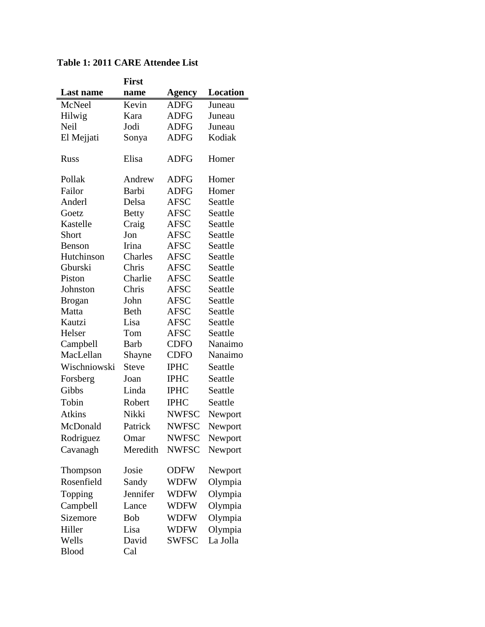|               | <b>First</b> |              |          |
|---------------|--------------|--------------|----------|
| Last name     | name         | Agency       | Location |
| McNeel        | Kevin        | <b>ADFG</b>  | Juneau   |
| Hilwig        | Kara         | ADFG         | Juneau   |
| Neil          | Jodi         | ADFG         | Juneau   |
| El Mejjati    | Sonya        | <b>ADFG</b>  | Kodiak   |
| <b>Russ</b>   | Elisa        | <b>ADFG</b>  | Homer    |
| Pollak        | Andrew       | <b>ADFG</b>  | Homer    |
| Failor        | Barbi        | <b>ADFG</b>  | Homer    |
| Anderl        | Delsa        | AFSC         | Seattle  |
| Goetz         | <b>Betty</b> | <b>AFSC</b>  | Seattle  |
| Kastelle      | Craig        | AFSC         | Seattle  |
| Short         | Jon          | AFSC         | Seattle  |
| Benson        | Irina        | AFSC         | Seattle  |
| Hutchinson    | Charles      | <b>AFSC</b>  | Seattle  |
| Gburski       | Chris        | AFSC         | Seattle  |
| Piston        | Charlie      | <b>AFSC</b>  | Seattle  |
| Johnston      | Chris        | <b>AFSC</b>  | Seattle  |
| <b>Brogan</b> | John         | AFSC         | Seattle  |
| Matta         | Beth         | AFSC         | Seattle  |
| Kautzi        | Lisa         | <b>AFSC</b>  | Seattle  |
| Helser        | Tom          | AFSC         | Seattle  |
| Campbell      | <b>Barb</b>  | <b>CDFO</b>  | Nanaimo  |
| MacLellan     | Shayne       | <b>CDFO</b>  | Nanaimo  |
| Wischniowski  | <b>Steve</b> | <b>IPHC</b>  | Seattle  |
| Forsberg      | Joan         | <b>IPHC</b>  | Seattle  |
| Gibbs         | Linda        | <b>IPHC</b>  | Seattle  |
| Tobin         | Robert       | <b>IPHC</b>  | Seattle  |
| Atkins        | Nikki        | <b>NWFSC</b> | Newport  |
| McDonald      | Patrick      | <b>NWFSC</b> | Newport  |
| Rodriguez     | Omar         | <b>NWFSC</b> | Newport  |
| Cavanagh      | Meredith     | <b>NWFSC</b> | Newport  |
| Thompson      | Josie        | <b>ODFW</b>  | Newport  |
| Rosenfield    | Sandy        | WDFW         | Olympia  |
| Topping       | Jennifer     | WDFW         | Olympia  |
| Campbell      | Lance        | <b>WDFW</b>  | Olympia  |
| Sizemore      | Bob          | WDFW         | Olympia  |
| Hiller        | Lisa         | WDFW         | Olympia  |
| Wells         | David        | SWFSC        | La Jolla |
| <b>Blood</b>  | Cal          |              |          |

# **Table 1: 2011 CARE Attendee List**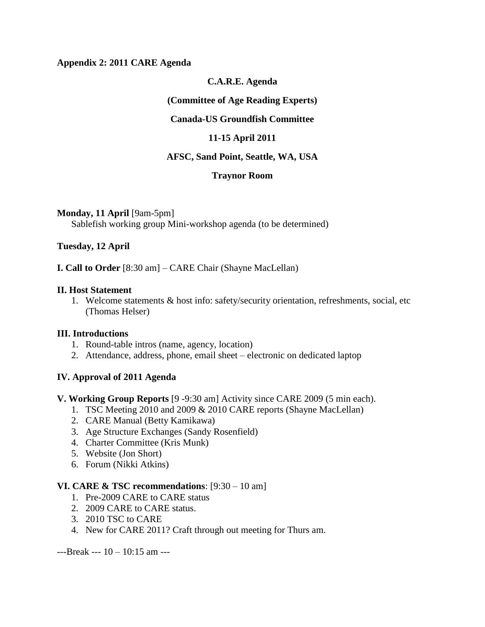### **Appendix 2: 2011 CARE Agenda**

### **C.A.R.E. Agenda**

#### **(Committee of Age Reading Experts)**

### **Canada-US Groundfish Committee**

### **11-15 April 2011**

### **AFSC, Sand Point, Seattle, WA, USA**

#### **Traynor Room**

#### **Monday, 11 April** [9am-5pm]

Sablefish working group Mini-workshop agenda (to be determined)

#### **Tuesday, 12 April**

**I. Call to Order** [8:30 am] – CARE Chair (Shayne MacLellan)

#### **II. Host Statement**

1. Welcome statements & host info: safety/security orientation, refreshments, social, etc (Thomas Helser)

### **III. Introductions**

- 1. Round-table intros (name, agency, location)
- 2. Attendance, address, phone, email sheet electronic on dedicated laptop

### **IV. Approval of 2011 Agenda**

#### **V. Working Group Reports** [9 -9:30 am] Activity since CARE 2009 (5 min each).

- 1. TSC Meeting 2010 and 2009 & 2010 CARE reports (Shayne MacLellan)
- 2. CARE Manual (Betty Kamikawa)
- 3. Age Structure Exchanges (Sandy Rosenfield)
- 4. Charter Committee (Kris Munk)
- 5. Website (Jon Short)
- 6. Forum (Nikki Atkins)

#### **VI. CARE & TSC recommendations**: [9:30 – 10 am]

- 1. Pre-2009 CARE to CARE status
- 2. 2009 CARE to CARE status.
- 3. 2010 TSC to CARE
- 4. New for CARE 2011? Craft through out meeting for Thurs am.

---Break --- 10 – 10:15 am ---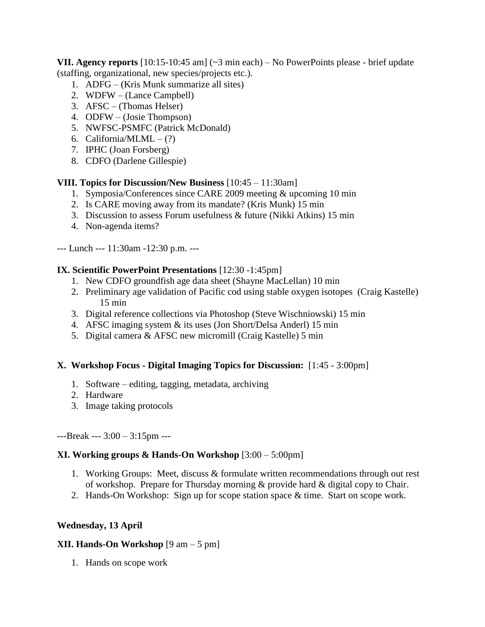**VII. Agency reports** [10:15-10:45 am] (~3 min each) – No PowerPoints please - brief update (staffing, organizational, new species/projects etc.).

- 1. ADFG (Kris Munk summarize all sites)
- 2. WDFW (Lance Campbell)
- 3. AFSC (Thomas Helser)
- 4. ODFW (Josie Thompson)
- 5. NWFSC-PSMFC (Patrick McDonald)
- 6. California/MLML  $(?)$
- 7. IPHC (Joan Forsberg)
- 8. CDFO (Darlene Gillespie)

# **VIII. Topics for Discussion/New Business** [10:45 – 11:30am]

- 1. Symposia/Conferences since CARE 2009 meeting & upcoming 10 min
- 2. Is CARE moving away from its mandate? (Kris Munk) 15 min
- 3. Discussion to assess Forum usefulness & future (Nikki Atkins) 15 min
- 4. Non-agenda items?

--- Lunch --- 11:30am -12:30 p.m. ---

# **IX. Scientific PowerPoint Presentations** [12:30 -1:45pm]

- 1. New CDFO groundfish age data sheet (Shayne MacLellan) 10 min
- 2. Preliminary age validation of Pacific cod using stable oxygen isotopes (Craig Kastelle) 15 min
- 3. Digital reference collections via Photoshop (Steve Wischniowski) 15 min
- 4. AFSC imaging system & its uses (Jon Short/Delsa Anderl) 15 min
- 5. Digital camera & AFSC new micromill (Craig Kastelle) 5 min

# **X. Workshop Focus - Digital Imaging Topics for Discussion:** [1:45 - 3:00pm]

- 1. Software editing, tagging, metadata, archiving
- 2. Hardware
- 3. Image taking protocols

---Break --- 3:00 – 3:15pm ---

# **XI. Working groups & Hands-On Workshop** [3:00 – 5:00pm]

- 1. Working Groups: Meet, discuss & formulate written recommendations through out rest of workshop. Prepare for Thursday morning & provide hard & digital copy to Chair.
- 2. Hands-On Workshop: Sign up for scope station space & time. Start on scope work.

# **Wednesday, 13 April**

# **XII. Hands-On Workshop** [9 am – 5 pm]

1. Hands on scope work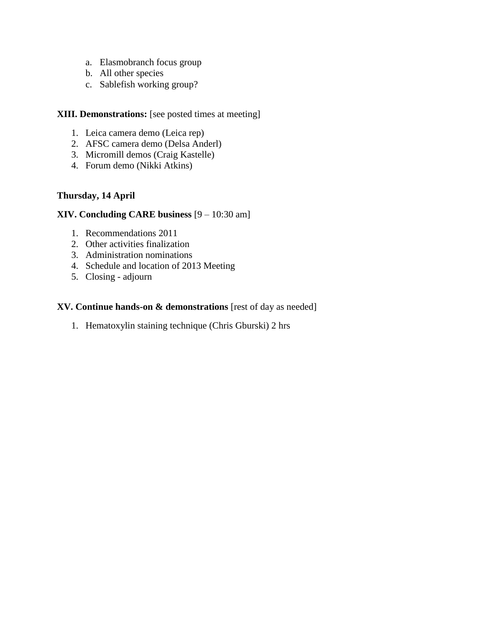- a. Elasmobranch focus group
- b. All other species
- c. Sablefish working group?

## **XIII. Demonstrations:** [see posted times at meeting]

- 1. Leica camera demo (Leica rep)
- 2. AFSC camera demo (Delsa Anderl)
- 3. Micromill demos (Craig Kastelle)
- 4. Forum demo (Nikki Atkins)

# **Thursday, 14 April**

# **XIV. Concluding CARE business** [9 – 10:30 am]

- 1. Recommendations 2011
- 2. Other activities finalization
- 3. Administration nominations
- 4. Schedule and location of 2013 Meeting
- 5. Closing adjourn

### **XV. Continue hands-on & demonstrations** [rest of day as needed]

1. Hematoxylin staining technique (Chris Gburski) 2 hrs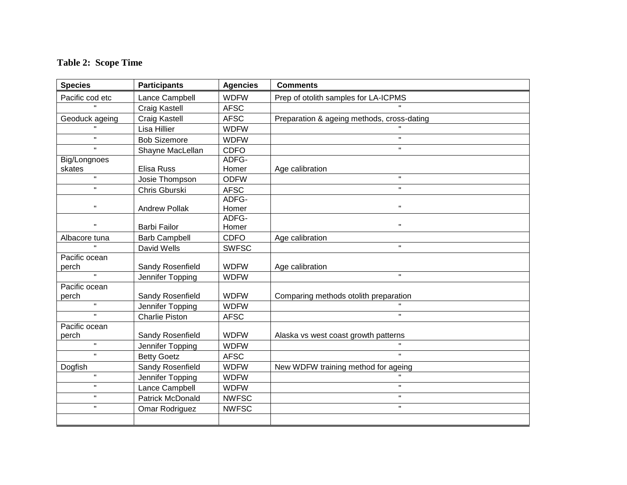# **Table 2: Scope Time**

| <b>Species</b>                      | <b>Participants</b>     | <b>Agencies</b> | <b>Comments</b>                            |  |
|-------------------------------------|-------------------------|-----------------|--------------------------------------------|--|
| Pacific cod etc                     | Lance Campbell          | <b>WDFW</b>     | Prep of otolith samples for LA-ICPMS       |  |
| $\mathbf{u}$                        | Craig Kastell           | <b>AFSC</b>     |                                            |  |
| Geoduck ageing                      | <b>Craig Kastell</b>    | <b>AFSC</b>     | Preparation & ageing methods, cross-dating |  |
|                                     | Lisa Hillier            | <b>WDFW</b>     |                                            |  |
| $\mathbf H$                         | <b>Bob Sizemore</b>     | <b>WDFW</b>     | $\mathbf H$                                |  |
| $\mathbf{u}$                        | Shayne MacLellan        | <b>CDFO</b>     | $\mathbf{H}$                               |  |
| Big/Longnoes                        |                         | ADFG-           |                                            |  |
| skates                              | Elisa Russ              | Homer           | Age calibration                            |  |
| $\mathbf{u}$                        | Josie Thompson          | <b>ODFW</b>     | $\mathbf{H}$                               |  |
| $\mathbf{u}$                        | Chris Gburski           | <b>AFSC</b>     | $\mathbf{H}$                               |  |
|                                     |                         | ADFG-           |                                            |  |
| $\pmb{\mathsf{H}}$                  | <b>Andrew Pollak</b>    | Homer           | $\pmb{\mathsf{H}}$                         |  |
| $\mathbf H$                         |                         | ADFG-           | H.                                         |  |
|                                     | <b>Barbi Failor</b>     | Homer           |                                            |  |
| Albacore tuna<br>$\bar{\mathbf{u}}$ | <b>Barb Campbell</b>    | <b>CDFO</b>     | Age calibration<br>$\mathbf{u}$            |  |
|                                     | David Wells             | <b>SWFSC</b>    |                                            |  |
| Pacific ocean<br>perch              | Sandy Rosenfield        | <b>WDFW</b>     | Age calibration                            |  |
| $\bar{\mathbf{u}}$                  | Jennifer Topping        | <b>WDFW</b>     | $\mathbf{H}$                               |  |
| Pacific ocean                       |                         |                 |                                            |  |
| perch                               | Sandy Rosenfield        | <b>WDFW</b>     | Comparing methods otolith preparation      |  |
| $\mathbf H$                         | Jennifer Topping        | <b>WDFW</b>     |                                            |  |
| $\mathbf{u}$                        | <b>Charlie Piston</b>   | <b>AFSC</b>     | $\mathbf{H}$                               |  |
| Pacific ocean                       |                         |                 |                                            |  |
| perch                               | Sandy Rosenfield        | <b>WDFW</b>     | Alaska vs west coast growth patterns       |  |
| $\mathbf{u}$                        | Jennifer Topping        | <b>WDFW</b>     |                                            |  |
| $\mathbf{u}$                        | <b>Betty Goetz</b>      | <b>AFSC</b>     | $\mathbf{u}$                               |  |
| Dogfish                             | Sandy Rosenfield        | <b>WDFW</b>     | New WDFW training method for ageing        |  |
| $\mathbf{H}$                        | Jennifer Topping        | <b>WDFW</b>     | $\mathbf H$                                |  |
| $\mathbf H$                         | Lance Campbell          | <b>WDFW</b>     | $\mathbf H$                                |  |
| $\mathbf{H}$                        | <b>Patrick McDonald</b> | <b>NWFSC</b>    | $\mathbf{H}$                               |  |
| $\mathbf{H}$                        | Omar Rodriguez          | <b>NWFSC</b>    | $\mathbf{H}$                               |  |
|                                     |                         |                 |                                            |  |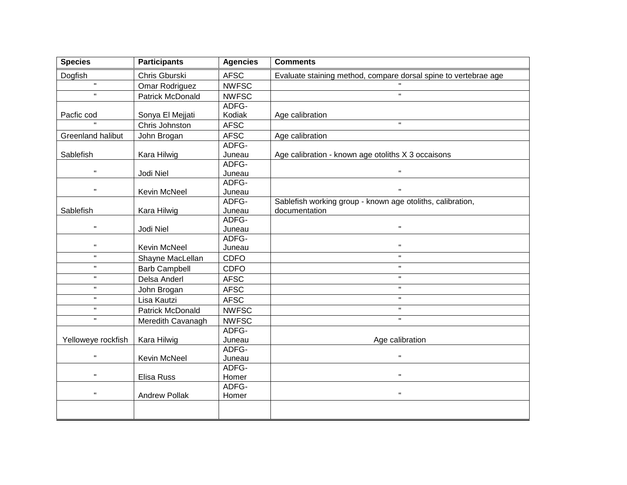| <b>Species</b>     | <b>Participants</b>     | <b>Agencies</b> | <b>Comments</b>                                                 |
|--------------------|-------------------------|-----------------|-----------------------------------------------------------------|
| Dogfish            | Chris Gburski           | <b>AFSC</b>     | Evaluate staining method, compare dorsal spine to vertebrae age |
| $\mathbf{u}$       | Omar Rodriguez          | <b>NWFSC</b>    |                                                                 |
| $\mathbf{u}$       | <b>Patrick McDonald</b> | <b>NWFSC</b>    | $\mathbf{u}$                                                    |
|                    |                         | ADFG-           |                                                                 |
| Pacfic cod         | Sonya El Mejjati        | Kodiak          | Age calibration                                                 |
|                    | Chris Johnston          | <b>AFSC</b>     | $\mathbf{u}$                                                    |
| Greenland halibut  | John Brogan             | <b>AFSC</b>     | Age calibration                                                 |
|                    |                         | ADFG-           |                                                                 |
| Sablefish          | Kara Hilwig             | Juneau          | Age calibration - known age otoliths X 3 occaisons              |
|                    |                         | ADFG-           |                                                                 |
| $\mathbf H$        | Jodi Niel               | Juneau          | $\mathbf H$                                                     |
| $\mathbf H$        |                         | ADFG-           | $\mathbf H$                                                     |
|                    | Kevin McNeel            | Juneau          |                                                                 |
|                    |                         | ADFG-           | Sablefish working group - known age otoliths, calibration,      |
| Sablefish          | Kara Hilwig             | Juneau          | documentation                                                   |
| $\mathbf{H}$       |                         | ADFG-           | $\mathbf H$                                                     |
|                    | Jodi Niel               | Juneau<br>ADFG- |                                                                 |
| $\mathbf H$        | <b>Kevin McNeel</b>     | Juneau          | $\mathbf H$                                                     |
| $\mathbf{u}$       | Shayne MacLellan        | <b>CDFO</b>     | $\mathbf{H}$                                                    |
| $\mathbf{H}$       | <b>Barb Campbell</b>    | <b>CDFO</b>     | $\mathbf{u}$                                                    |
| $\mathbf{H}$       | Delsa Anderl            | <b>AFSC</b>     | $\mathbf{H}$                                                    |
| $\mathbf{H}$       | John Brogan             | <b>AFSC</b>     | $\mathbf{H}$                                                    |
| $\mathbf H$        | Lisa Kautzi             | <b>AFSC</b>     | $\mathbf H$                                                     |
| $\mathbf{u}$       | <b>Patrick McDonald</b> | <b>NWFSC</b>    | $\mathbf{H}$                                                    |
| $\mathbf{H}$       | Meredith Cavanagh       | <b>NWFSC</b>    | $\mathbf H$                                                     |
|                    |                         | ADFG-           |                                                                 |
| Yelloweye rockfish | Kara Hilwig             | Juneau          | Age calibration                                                 |
|                    |                         | ADFG-           |                                                                 |
| $\mathbf{u}$       | Kevin McNeel            | Juneau          | $\mathbf{u}$                                                    |
|                    |                         | ADFG-           |                                                                 |
| $\blacksquare$     | Elisa Russ              | Homer           | $\mathbf{H}$                                                    |
|                    |                         | ADFG-           |                                                                 |
| $\pmb{\mathsf{H}}$ | <b>Andrew Pollak</b>    | Homer           | $\mathbf{H}$                                                    |
|                    |                         |                 |                                                                 |